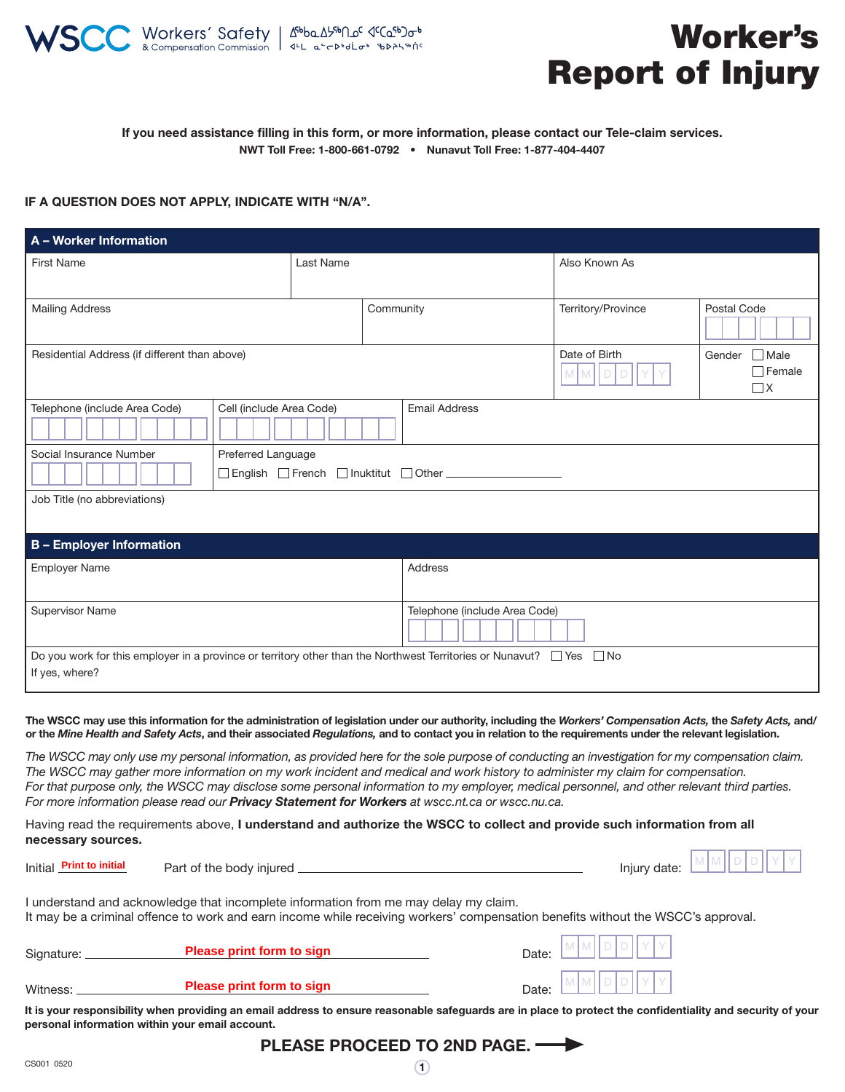

# Worker's Report of Injury

### If you need assistance filling in this form, or more information, please contact our Tele-claim services. NWT Toll Free: 1-800-661-0792 • Nunavut Toll Free: 1-877-404-4407

#### IF A QUESTION DOES NOT APPLY, INDICATE WITH "N/A".

| A - Worker Information                                                                                                                              |  |           |           |                                                 |                                                    |             |  |
|-----------------------------------------------------------------------------------------------------------------------------------------------------|--|-----------|-----------|-------------------------------------------------|----------------------------------------------------|-------------|--|
| <b>First Name</b>                                                                                                                                   |  | Last Name |           | Also Known As                                   |                                                    |             |  |
| <b>Mailing Address</b>                                                                                                                              |  |           | Community |                                                 | Territory/Province                                 | Postal Code |  |
| Residential Address (if different than above)                                                                                                       |  |           |           | Date of Birth<br>$M$ $M$<br>$\overline{D}$<br>D | $\Box$ Male<br>Gender<br>$\Box$ Female<br>$\Box$ X |             |  |
| Telephone (include Area Code)<br>Cell (include Area Code)<br><b>Email Address</b>                                                                   |  |           |           |                                                 |                                                    |             |  |
| Social Insurance Number<br>Preferred Language                                                                                                       |  |           |           |                                                 |                                                    |             |  |
| □ English □ French □ Inuktitut □ Other ■ ■ The Theorem ■ The Theorem ■ The Theorem ■ The Theorem ■ T                                                |  |           |           |                                                 |                                                    |             |  |
| Job Title (no abbreviations)                                                                                                                        |  |           |           |                                                 |                                                    |             |  |
| <b>B</b> - Employer Information                                                                                                                     |  |           |           |                                                 |                                                    |             |  |
| Employer Name                                                                                                                                       |  |           |           | <b>Address</b>                                  |                                                    |             |  |
| <b>Supervisor Name</b>                                                                                                                              |  |           |           | Telephone (include Area Code)                   |                                                    |             |  |
| Do you work for this employer in a province or territory other than the Northwest Territories or Nunavut? $\Box$ Yes<br>$\Box$ No<br>If yes, where? |  |           |           |                                                 |                                                    |             |  |
|                                                                                                                                                     |  |           |           |                                                 |                                                    |             |  |

The WSCC may use this information for the administration of legislation under our authority, including the *Workers' Compensation Acts,* the *Safety Acts,* and/ or the *Mine Health and Safety Acts*, and their associated *Regulations,* and to contact you in relation to the requirements under the relevant legislation.

*The WSCC may only use my personal information, as provided here for the sole purpose of conducting an investigation for my compensation claim. The WSCC may gather more information on my work incident and medical and work history to administer my claim for compensation. For that purpose only, the WSCC may disclose some personal information to my employer, medical personnel, and other relevant third parties. For more information please read our Privacy Statement for Workers at wscc.nt.ca or wscc.nu.ca.*

Having read the requirements above, I understand and authorize the WSCC to collect and provide such information from all necessary sources.

| Initial Print to initial |  |
|--------------------------|--|
|                          |  |

Part of the body injured **International Part of the body** injury date:

M M D D I Y Y

I understand and acknowledge that incomplete information from me may delay my claim. It may be a criminal offence to work and earn income while receiving workers' compensation benefits without the WSCC's approval.

| Signature: | <b>Please print form to sign</b> | Date: L                          |
|------------|----------------------------------|----------------------------------|
| Witness:   | <b>Please print form to sign</b> | $M$ $M$ $D$ $D$ $Y$ $Y$<br>Date: |

It is your responsibility when providing an email address to ensure reasonable safeguards are in place to protect the confidentiality and security of your personal information within your email account.

 $\bigcirc$ 

PLEASE PROCEED TO 2ND PAGE.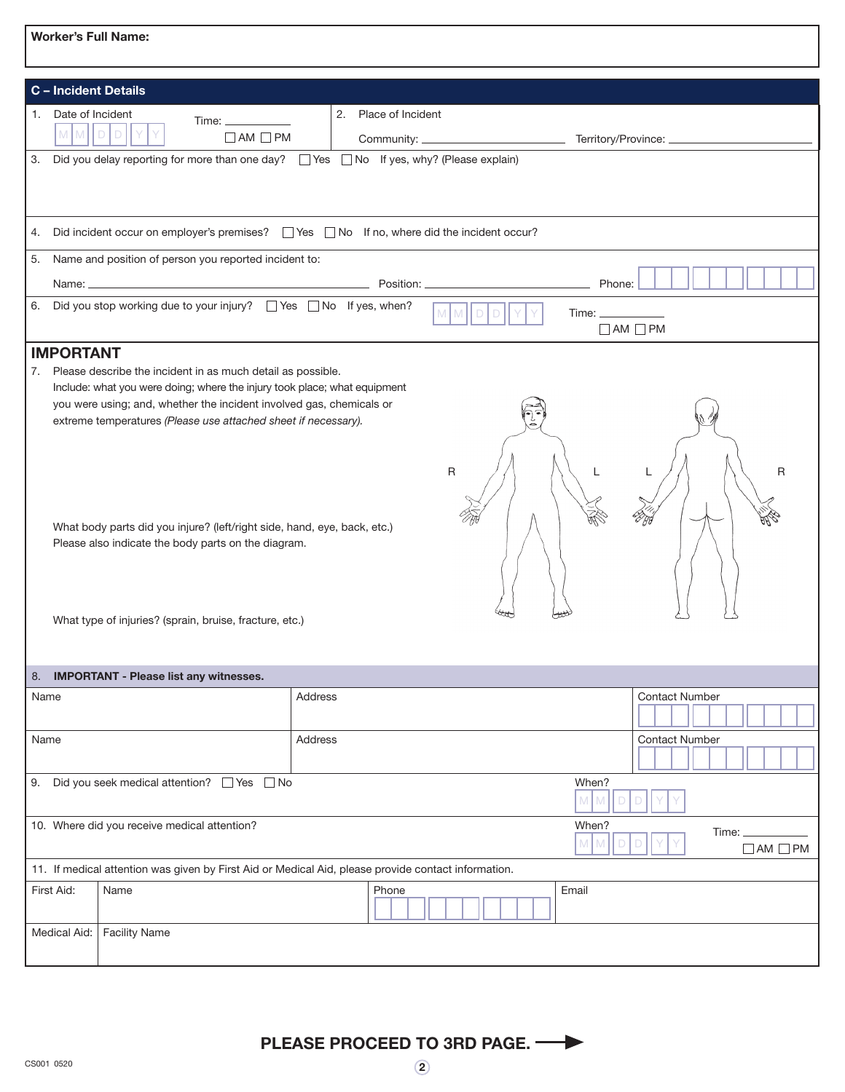|      | C - Incident Details                                                                                |                                                                                                                                                                                                                                                                                                                                                                                                                       |         |                      |              |  |                                    |                       |   |
|------|-----------------------------------------------------------------------------------------------------|-----------------------------------------------------------------------------------------------------------------------------------------------------------------------------------------------------------------------------------------------------------------------------------------------------------------------------------------------------------------------------------------------------------------------|---------|----------------------|--------------|--|------------------------------------|-----------------------|---|
| 1.   | Date of Incident<br>MMDD                                                                            | $\Box$ AM $\Box$ PM                                                                                                                                                                                                                                                                                                                                                                                                   |         | 2. Place of Incident |              |  |                                    |                       |   |
|      |                                                                                                     | 3. Did you delay reporting for more than one day? □ Yes □ No If yes, why? (Please explain)                                                                                                                                                                                                                                                                                                                            |         |                      |              |  |                                    |                       |   |
| 4.   |                                                                                                     | Did incident occur on employer's premises?<br>Tes No If no, where did the incident occur?                                                                                                                                                                                                                                                                                                                             |         |                      |              |  |                                    |                       |   |
|      |                                                                                                     | 5. Name and position of person you reported incident to:                                                                                                                                                                                                                                                                                                                                                              |         |                      |              |  |                                    |                       |   |
|      |                                                                                                     | Name: Name: Phone: Position: Name: Position: Name: Phone: Phone: Phone: Phone: Phone: Phone: Phone: Phone: Phone: Phone: Phone: Phone: Phone: Phone: Phone: Phone: Phone: Phone: Phone: Phone: Phone: Phone: Phone: Phone: Pho                                                                                                                                                                                        |         |                      |              |  |                                    |                       |   |
| 6.   |                                                                                                     | Did you stop working due to your injury? □ Yes □ No If yes, when?                                                                                                                                                                                                                                                                                                                                                     |         |                      |              |  | $Time: \underline{\qquad \qquad }$ | $\Box$ AM $\Box$ PM   |   |
|      | <b>IMPORTANT</b>                                                                                    |                                                                                                                                                                                                                                                                                                                                                                                                                       |         |                      |              |  |                                    |                       |   |
| 7.   |                                                                                                     | Please describe the incident in as much detail as possible.<br>Include: what you were doing; where the injury took place; what equipment<br>you were using; and, whether the incident involved gas, chemicals or<br>extreme temperatures (Please use attached sheet if necessary).<br>What body parts did you injure? (left/right side, hand, eye, back, etc.)<br>Please also indicate the body parts on the diagram. |         |                      | $\mathsf{R}$ |  |                                    |                       | R |
|      | What type of injuries? (sprain, bruise, fracture, etc.)                                             |                                                                                                                                                                                                                                                                                                                                                                                                                       |         |                      |              |  |                                    |                       |   |
| 8.   |                                                                                                     | <b>IMPORTANT - Please list any witnesses.</b>                                                                                                                                                                                                                                                                                                                                                                         |         |                      |              |  |                                    |                       |   |
|      | Name                                                                                                |                                                                                                                                                                                                                                                                                                                                                                                                                       | Address |                      |              |  |                                    | <b>Contact Number</b> |   |
|      |                                                                                                     |                                                                                                                                                                                                                                                                                                                                                                                                                       |         |                      |              |  |                                    |                       |   |
| Name |                                                                                                     |                                                                                                                                                                                                                                                                                                                                                                                                                       | Address |                      |              |  |                                    | <b>Contact Number</b> |   |
| 9.   | Did you seek medical attention? □ Yes □ No<br>When?<br>M<br>M                                       |                                                                                                                                                                                                                                                                                                                                                                                                                       |         |                      |              |  |                                    |                       |   |
|      | 10. Where did you receive medical attention?<br>When?<br>M<br>M<br>$\Box$ AM $\Box$ PM              |                                                                                                                                                                                                                                                                                                                                                                                                                       |         |                      |              |  |                                    |                       |   |
|      | 11. If medical attention was given by First Aid or Medical Aid, please provide contact information. |                                                                                                                                                                                                                                                                                                                                                                                                                       |         |                      |              |  |                                    |                       |   |
|      | First Aid:                                                                                          | Name                                                                                                                                                                                                                                                                                                                                                                                                                  |         | Phone                |              |  | Email                              |                       |   |
|      | Medical Aid:                                                                                        | <b>Facility Name</b>                                                                                                                                                                                                                                                                                                                                                                                                  |         |                      |              |  |                                    |                       |   |
|      |                                                                                                     |                                                                                                                                                                                                                                                                                                                                                                                                                       |         |                      |              |  |                                    |                       |   |

 $\odot$ PLEASE PROCEED TO 3RD PAGE.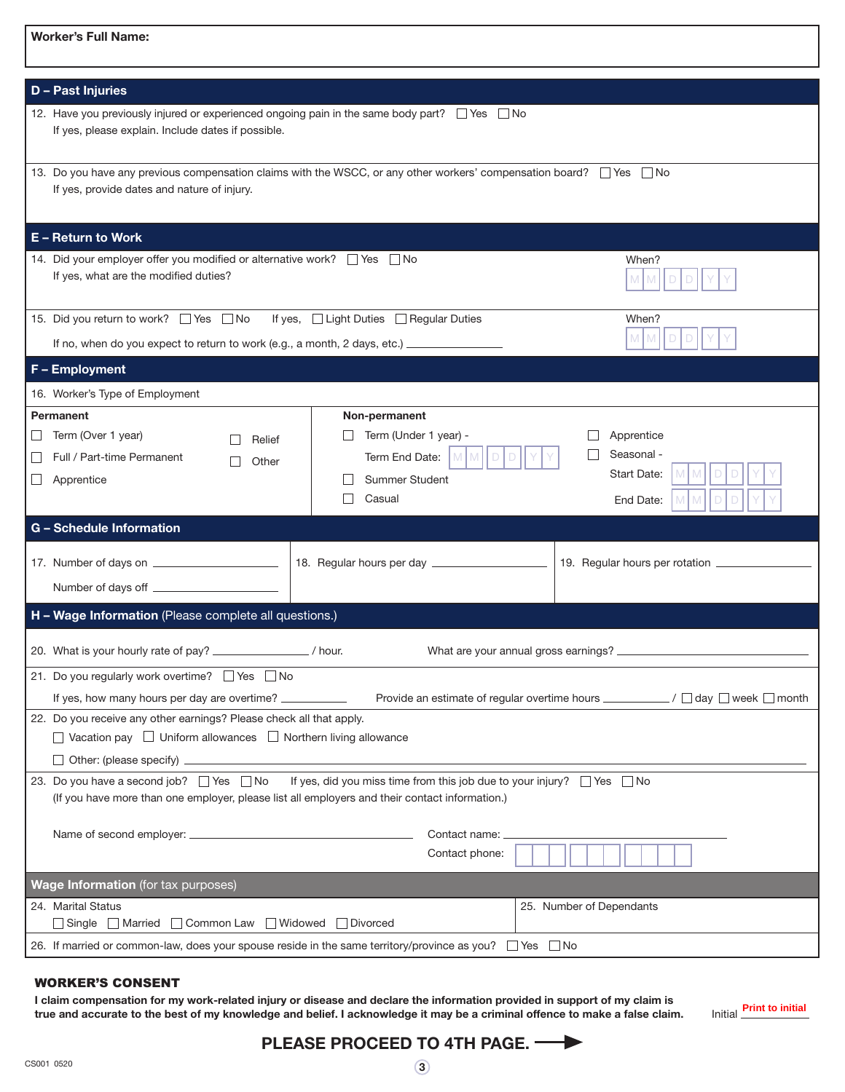| <b>Worker's Full Name:</b>                                                                                                                                                                                        |                                                                                                             |                                                      |  |  |  |  |
|-------------------------------------------------------------------------------------------------------------------------------------------------------------------------------------------------------------------|-------------------------------------------------------------------------------------------------------------|------------------------------------------------------|--|--|--|--|
| <b>D</b> - Past Injuries                                                                                                                                                                                          |                                                                                                             |                                                      |  |  |  |  |
| 12. Have you previously injured or experienced ongoing pain in the same body part? $\Box$ Yes $\Box$ No<br>If yes, please explain. Include dates if possible.                                                     |                                                                                                             |                                                      |  |  |  |  |
| 13. Do you have any previous compensation claims with the WSCC, or any other workers' compensation board? The Tho<br>If yes, provide dates and nature of injury.                                                  |                                                                                                             |                                                      |  |  |  |  |
| <b>E</b> - Return to Work                                                                                                                                                                                         |                                                                                                             |                                                      |  |  |  |  |
| 14. Did your employer offer you modified or alternative work? Thes No<br>When?<br>If yes, what are the modified duties?<br>M M<br>D                                                                               |                                                                                                             |                                                      |  |  |  |  |
| 15. Did you return to work? □ Yes □ No<br>If no, when do you expect to return to work (e.g., a month, 2 days, etc.) ___________________________________                                                           | If yes, $\Box$ Light Duties $\Box$ Regular Duties                                                           | When?<br>$M$ M                                       |  |  |  |  |
| F - Employment                                                                                                                                                                                                    |                                                                                                             |                                                      |  |  |  |  |
| 16. Worker's Type of Employment                                                                                                                                                                                   |                                                                                                             |                                                      |  |  |  |  |
| Permanent<br>Term (Over 1 year)<br>$\Box$<br>Relief<br>Full / Part-time Permanent<br>Other<br>Apprentice                                                                                                          | Non-permanent<br>Term (Under 1 year) -<br>Term End Date:<br>M <sub>1</sub><br>M<br>Summer Student<br>Casual | Apprentice<br>Seasonal -<br>Start Date:<br>End Date: |  |  |  |  |
| <b>G</b> - Schedule Information                                                                                                                                                                                   |                                                                                                             |                                                      |  |  |  |  |
|                                                                                                                                                                                                                   |                                                                                                             |                                                      |  |  |  |  |
| H - Wage Information (Please complete all questions.)                                                                                                                                                             |                                                                                                             |                                                      |  |  |  |  |
| 20. What is your hourly rate of pay? ________________/ hour.<br>What are your annual gross earnings? __                                                                                                           |                                                                                                             |                                                      |  |  |  |  |
| 21. Do you regularly work overtime? ■ Yes ■ No<br>If yes, how many hours per day are overtime? ___________                                                                                                        | Provide an estimate of regular overtime hours ____________/ □ day □ week □ month                            |                                                      |  |  |  |  |
| 22. Do you receive any other earnings? Please check all that apply.<br>$\Box$ Vacation pay $\Box$ Uniform allowances $\Box$ Northern living allowance<br>Other: (please specify) ________                         |                                                                                                             |                                                      |  |  |  |  |
| 23. Do you have a second job? □ Yes □ No If yes, did you miss time from this job due to your injury? □ Yes □ No<br>(If you have more than one employer, please list all employers and their contact information.) |                                                                                                             |                                                      |  |  |  |  |
|                                                                                                                                                                                                                   | Contact name:<br>Contact phone:                                                                             |                                                      |  |  |  |  |
| Wage Information (for tax purposes)                                                                                                                                                                               |                                                                                                             |                                                      |  |  |  |  |
| 24. Marital Status<br>25. Number of Dependants<br>□ Single ■ Married ■ Common Law ■ Widowed ■ Divorced                                                                                                            |                                                                                                             |                                                      |  |  |  |  |
| 26. If married or common-law, does your spouse reside in the same territory/province as you? $\Box$ Yes $\Box$ No                                                                                                 |                                                                                                             |                                                      |  |  |  |  |

#### WORKER'S CONSENT

I claim compensation for my work-related injury or disease and declare the information provided in support of my claim is true and accurate to the best of my knowledge and belief. I acknowledge it may be a criminal offence to make a false claim. **Print to initial**

## PLEASE PROCEED TO 4TH PAGE.